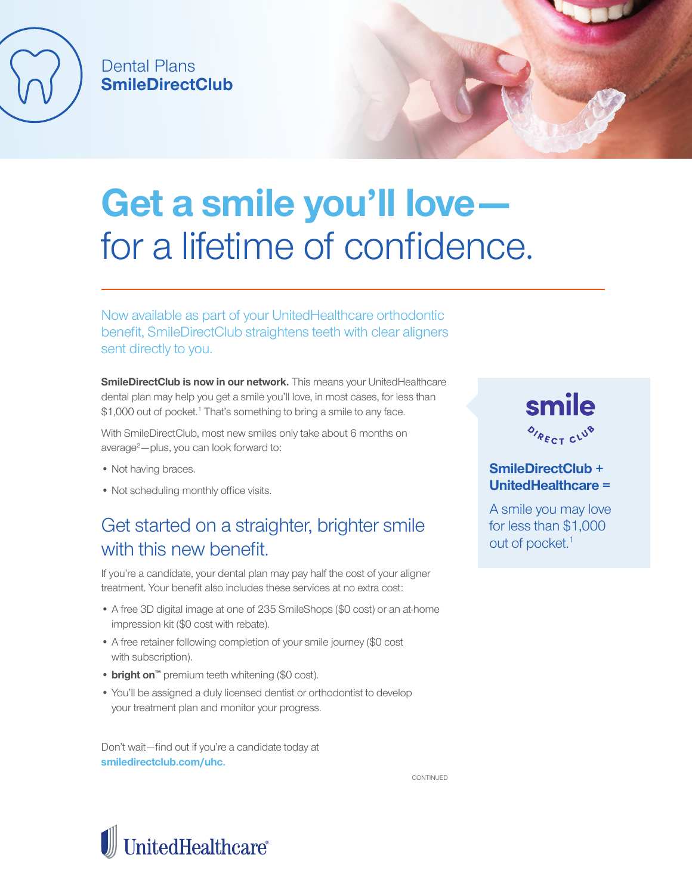

## Dental Plans **SmileDirectClub**

# **Get a smile you'll love**  for a lifetime of confidence.

Now available as part of your UnitedHealthcare orthodontic benefit, SmileDirectClub straightens teeth with clear aligners sent directly to you.

**SmileDirectClub is now in our network.** This means your UnitedHealthcare dental plan may help you get a smile you'll love, in most cases, for less than \$1,000 out of pocket.<sup>1</sup> That's something to bring a smile to any face.

With SmileDirectClub, most new smiles only take about 6 months on average<sup>2</sup>-plus, you can look forward to:

- Not having braces.
- Not scheduling monthly office visits.

## Get started on a straighter, brighter smile with this new henefit

If you're a candidate, your dental plan may pay half the cost of your aligner treatment. Your benefit also includes these services at no extra cost:

- A free 3D digital image at one of 235 SmileShops (\$0 cost) or an at-home impression kit (\$0 cost with rebate).
- A free retainer following completion of your smile journey (\$0 cost with subscription).
- **• bright on™** premium teeth whitening (\$0 cost).
- You'll be assigned a duly licensed dentist or orthodontist to develop your treatment plan and monitor your progress.

Don't wait—find out if you're a candidate today at **smiledirectclub.com/uhc.**

**CONTINUED** 



smile OIRECT CLUB

### **SmileDirectClub + UnitedHealthcare =**

A smile you may love for less than \$1,000 out of pocket.<sup>1</sup>